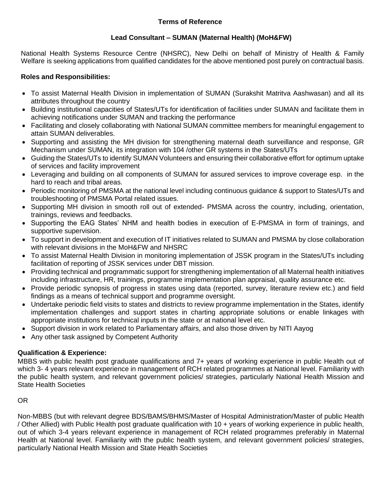#### **Terms of Reference**

## **Lead Consultant – SUMAN (Maternal Health) (MoH&FW)**

National Health Systems Resource Centre (NHSRC), New Delhi on behalf of Ministry of Health & Family Welfare is seeking applications from qualified candidates for the above mentioned post purely on contractual basis.

### **Roles and Responsibilities:**

- To assist Maternal Health Division in implementation of SUMAN (Surakshit Matritva Aashwasan) and all its attributes throughout the country
- Building institutional capacities of States/UTs for identification of facilities under SUMAN and facilitate them in achieving notifications under SUMAN and tracking the performance
- Facilitating and closely collaborating with National SUMAN committee members for meaningful engagement to attain SUMAN deliverables.
- Supporting and assisting the MH division for strengthening maternal death surveillance and response, GR Mechanism under SUMAN, its integration with 104 /other GR systems in the States/UTs
- Guiding the States/UTs to identify SUMAN Volunteers and ensuring their collaborative effort for optimum uptake of services and facility improvement
- Leveraging and building on all components of SUMAN for assured services to improve coverage esp. in the hard to reach and tribal areas.
- Periodic monitoring of PMSMA at the national level including continuous guidance & support to States/UTs and troubleshooting of PMSMA Portal related issues.
- Supporting MH division in smooth roll out of extended- PMSMA across the country, including, orientation, trainings, reviews and feedbacks.
- Supporting the EAG States' NHM and health bodies in execution of E-PMSMA in form of trainings, and supportive supervision.
- To support in development and execution of IT initiatives related to SUMAN and PMSMA by close collaboration with relevant divisions in the MoH&FW and NHSRC
- To assist Maternal Health Division in monitoring implementation of JSSK program in the States/UTs including facilitation of reporting of JSSK services under DBT mission.
- Providing technical and programmatic support for strengthening implementation of all Maternal health initiatives including infrastructure, HR, trainings, programme implementation plan appraisal, quality assurance etc.
- Provide periodic synopsis of progress in states using data (reported, survey, literature review etc.) and field findings as a means of technical support and programme oversight.
- Undertake periodic field visits to states and districts to review programme implementation in the States, identify implementation challenges and support states in charting appropriate solutions or enable linkages with appropriate institutions for technical inputs in the state or at national level etc.
- Support division in work related to Parliamentary affairs, and also those driven by NITI Aayog
- Any other task assigned by Competent Authority

## **Qualification & Experience:**

MBBS with public health post graduate qualifications and 7+ years of working experience in public Health out of which 3- 4 years relevant experience in management of RCH related programmes at National level. Familiarity with the public health system, and relevant government policies/ strategies, particularly National Health Mission and State Health Societies

#### OR

Non-MBBS (but with relevant degree BDS/BAMS/BHMS/Master of Hospital Administration/Master of public Health / Other Allied) with Public Health post graduate qualification with 10 + years of working experience in public health, out of which 3-4 years relevant experience in management of RCH related programmes preferably in Maternal Health at National level. Familiarity with the public health system, and relevant government policies/ strategies, particularly National Health Mission and State Health Societies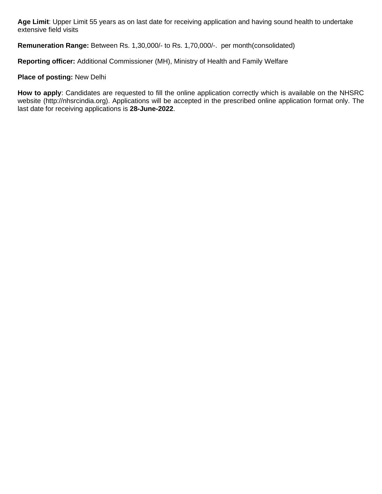**Age Limit**: Upper Limit 55 years as on last date for receiving application and having sound health to undertake extensive field visits

**Remuneration Range:** Between Rs. 1,30,000/- to Rs. 1,70,000/-. per month(consolidated)

**Reporting officer:** Additional Commissioner (MH), Ministry of Health and Family Welfare

#### **Place of posting:** New Delhi

**How to apply**: Candidates are requested to fill the online application correctly which is available on the NHSRC website (http://nhsrcindia.org). Applications will be accepted in the prescribed online application format only. The last date for receiving applications is **28-June-2022**.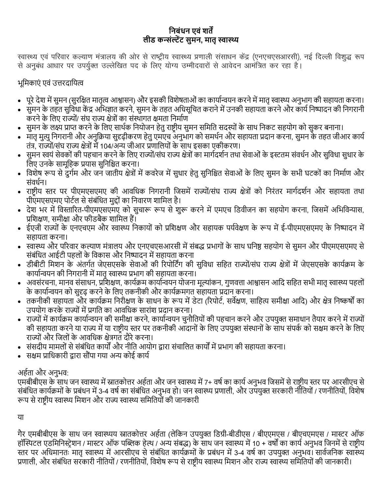# **निबंधि एवं शर्तें लीड कन्संल्टेंट सुमि, मार्तृस्वास्थ्य**

स्वास्थ्य एवं परिवार कल्याण मंत्रालय की ओर से राष्ट्रीय स्वास्थ्य प्रणाली संसाधन केंद्र (एनएचएसआरसी), नई दिल्ली विशुद्ध रूप से अनुबंध आधार पर उपर्युक्त उल्लेखित पद के लिए योग्य उम्मीदवारों से आवेदन आमंत्रित कर रहा है।

# भूमिकाएं एवं उत्तरदामित्व

- पूरे देश में सुमन (सुरक्षित मातृत्व आश्वासन) और इसकी विशेषताओं का कार्यान्वयन करने में मातृ स्वास्थ्य अनुभाग की सहायता करना।
- सुमन के तहत सुविधा केंद्र अभिज्ञात करने, सुमन के तहत अधिसूचित कराने में उनकी सहायता करने और कार्य निष्पादन की निगरानी करने के लिए राज्यों/ संघ राज्य क्षेत्रों का संस्थागत क्षमता निर्माण
- सुमन के लक्ष्य प्राप्त करने के लिए सार्थक नियोजन हेतु राष्ट्रीय सुमन समिति सदस्यों के साथ निकट सहयोग को सुकर बनाना।
- मातृ मुत्यु निगरानी और अनुक्रिया सुदृढ़ीकरण हेतु एमएच अनुभाग को समर्थन और सहायता प्रदान करना, सुमन के तहत जीआर कार्य तंत्र, राज्यों/संघ राज्य क्षेत्रों में 104/अन्य जीआर प्रणालियों के साथ इसका एकीकरण।
- सुमन स्वयं सेवकों की पहचान करने के लिए राज्यों/संघ राज्य क्षेत्रों का मार्गदर्शन तथा सेवाओं के इस्टतम संवर्धन और सुविधा सुधार के लिए उनके सामूहिक प्रयास सुनिश्चित करना।
- विशेष रूप से दुर्गम और जन जातीय क्षेत्रों में कवरेज में सुधार हेतु सुनिश्चित सेवाओं के लिए सुमन के सभी घटकों का निर्माण और संवर्धन।
- राष्ट्रीय स्तर पर पीएमएसएमए की आवधिक निगरानी जिसमें राज्यों/संघ राज्य क्षेत्रों को निरंतर मार्गदर्शन और सहायता तथा पीएमएसएमए पोर्टल से संबंधित मुद्दों का निवारण शामिल है।
- देश भर में विस्तारित-पीएमएसएमए को सुचारू रूप से शुरू करने में एमएच डिवीजन का सहयोग करना, जिसमें अभिविन्यास, प्रशिक्षण, समीक्षा और फीडबैक शामिल हैं।
- ईएजी राज्यों के एनएचएम और स्वास्थ्य निकायों को प्रशिक्षण और सहायक पर्यवेक्षण के रूप में ई-पीएमएसएमए के निष्पादन में सहायता करना।
- स्वास्थ्य और परिवार कल्याण मंत्रालय और एनएचएसआरसी में संबद्ध प्रभागों के साथ घनिष्ठ सहयोग से सुमन और पीएमएसएमए से संबंधित आईटी पहलों के विकास और निष्पादन में सहायता करना
- डीबीटी मिशन के अंतर्गत जेएसएसके सेवाओं की रिपोर्टिंग की सुविधा सहित राज्यों/संघ राज्य क्षेत्रों में जेएसएसके कार्यक्रम के कार्यान्वयन की निगरानी में मातृ स्वास्थ्य प्रभाग की सहायता करना।
- अवसंरचना, मानव संसाधन, प्रशिक्षण, कार्यक्रम कार्यान्वयन योजना मूल्यांकन, गुणवत्ता आश्वासन आदि सहित सभी मातृ स्वास्थ्य पहलों के कार्यान्वयन को सुदृढ करने के लिए तकनीकी और कार्यक्रमगत सहायता प्रदान करना।
- तकनीकी सहािता और कािािि मनरीिण के साधन के रूप िेंिेटा (ररपयटा, सवेिण, सामहत्य सिीिा आमद) और िेत् मनष्कषों का उपयोग करके राज्यों में प्रगति का आवधिक सारांश प्रदान करना।
- राज्यों में कार्यक्रम कार्यान्वयन की समीक्षा करने, कार्यान्वयन चुनौतियों की पहचान करने और उपयुक्त समाधान तैयार करने में राज्यों की सहायता करने या राज्य में या राष्ट्रीय स्तर पर तकनीकी ऑदानों के लिए उपयुक्त संस्थानों के साथ संपर्क को सक्षम करने के लिए राज्यों और जिलों के आवधिक क्षेत्रगत दौरे करना।
- संसदीय मामलों से संबंधित कार्यों और नीति आयोग द्वारा संचालित कार्यों में प्रभाग की सहायता करना।
- सक्षम प्राधिकारी द्वारा सौंपा गया अन्य कोई कार्य

# अहाता और अनुभव:

एमबीबीएस के साथ जन स्वास्थ्य में स्नातकोत्तर अर्हता और जन स्वास्थ्य में 7+ वर्ष का कार्य अनुभव जिसमें से राष्ट्रीय स्तर पर आरसीएच से संबंधित कार्यक्रमों के प्रबंधन में 3-4 वर्ष का संबंधित अनुभव हो। जन स्वास्थ्य प्रणाली, और उपयुक्त सरकारी नीतियों / रणनीतियों, विशेष रूप से राष्ट्रीय स्वास्थ्य मिशन और राज्य स्वास्थ्य समितियों की जानकारी

या

गैर एमबीबीएस के साथ जन स्वास्थ्यय स्नातकोत्तर अर्हता (लेकिन उपयुक्त डिग्री-बीडीएस / बीएएमएस / बीएचएमएस / मास्टर ऑफ हॉस्पिटल एडमिनिस्ट्रेशन / मास्टर ऑफ पब्लिक हेल्थ / अन्य संबद्ध) के साथ जन स्वास्थ्य में 10 + वर्षों का कार्य अनुभव जिनमें से राष्ट्रीय स्तर पर अधिमानतः मातृ स्वास्थ्य में आरसीएच से संबंधित कार्यक्रमों के प्रबंधन में 3-4 वर्ष का उपयुक्त अनुभव। सार्वजनिक स्वास्थ्य प्रणाली, और संबंधित सरकारी नीतियों / रणनीतियों, विशेष रूप से राष्ट्रीय स्वास्थ्य मिशन और राज्य स्वास्थ्य समितियों की जानकारी।